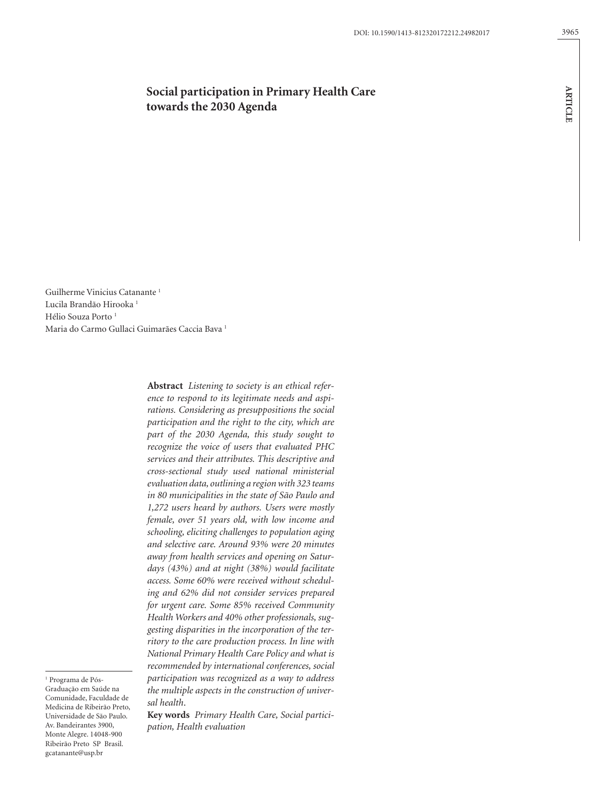# **Social participation in Primary Health Care towards the 2030 Agenda**

Guilherme Vinicius Catanante 1 Lucila Brandão Hirooka<sup>1</sup> Hélio Souza Porto<sup>1</sup> Maria do Carmo Gullaci Guimarães Caccia Bava 1

> **Abstract** *Listening to society is an ethical reference to respond to its legitimate needs and aspirations. Considering as presuppositions the social participation and the right to the city, which are part of the 2030 Agenda, this study sought to recognize the voice of users that evaluated PHC services and their attributes. This descriptive and cross-sectional study used national ministerial evaluation data, outlining a region with 323 teams in 80 municipalities in the state of São Paulo and 1,272 users heard by authors. Users were mostly female, over 51 years old, with low income and schooling, eliciting challenges to population aging and selective care. Around 93% were 20 minutes away from health services and opening on Saturdays (43%) and at night (38%) would facilitate access. Some 60% were received without scheduling and 62% did not consider services prepared for urgent care. Some 85% received Community Health Workers and 40% other professionals, suggesting disparities in the incorporation of the territory to the care production process. In line with National Primary Health Care Policy and what is recommended by international conferences, social participation was recognized as a way to address the multiple aspects in the construction of universal health*.

1 Programa de Pós-Graduação em Saúde na Comunidade, Faculdade de Medicina de Ribeirão Preto, Universidade de São Paulo. Av. Bandeirantes 3900, Monte Alegre. 14048-900 Ribeirão Preto SP Brasil. gcatanante@usp.br

**Key words** *Primary Health Care, Social participation, Health evaluation*

3965

**ARTICLE**

**ARTICLE**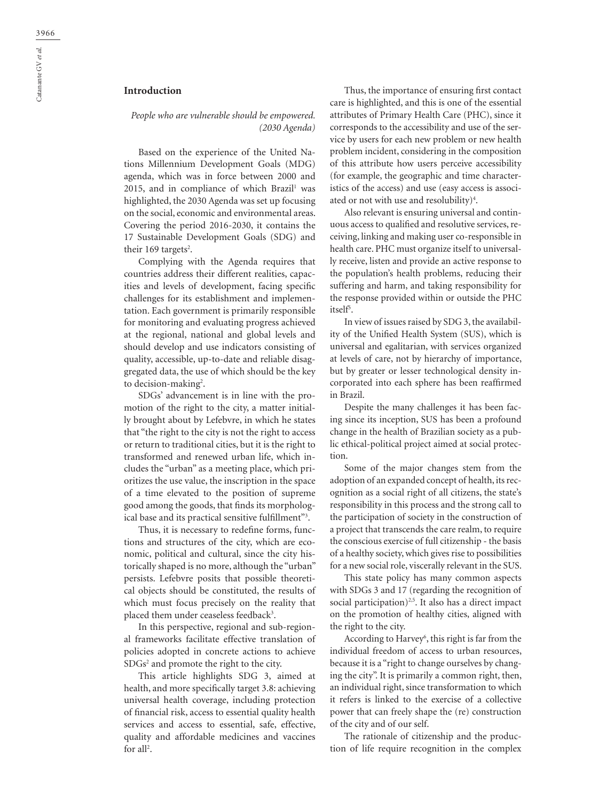# **Introduction**

## *People who are vulnerable should be empowered. (2030 Agenda)*

Based on the experience of the United Nations Millennium Development Goals (MDG) agenda, which was in force between 2000 and 2015, and in compliance of which Brazil<sup>1</sup> was highlighted, the 2030 Agenda was set up focusing on the social, economic and environmental areas. Covering the period 2016-2030, it contains the 17 Sustainable Development Goals (SDG) and their 169 targets<sup>2</sup>.

Complying with the Agenda requires that countries address their different realities, capacities and levels of development, facing specific challenges for its establishment and implementation. Each government is primarily responsible for monitoring and evaluating progress achieved at the regional, national and global levels and should develop and use indicators consisting of quality, accessible, up-to-date and reliable disaggregated data, the use of which should be the key to decision-making<sup>2</sup>.

SDGs' advancement is in line with the promotion of the right to the city, a matter initially brought about by Lefebvre, in which he states that "the right to the city is not the right to access or return to traditional cities, but it is the right to transformed and renewed urban life, which includes the "urban" as a meeting place, which prioritizes the use value, the inscription in the space of a time elevated to the position of supreme good among the goods, that finds its morphological base and its practical sensitive fulfillment"3 .

Thus, it is necessary to redefine forms, functions and structures of the city, which are economic, political and cultural, since the city historically shaped is no more, although the "urban" persists. Lefebvre posits that possible theoretical objects should be constituted, the results of which must focus precisely on the reality that placed them under ceaseless feedback<sup>3</sup>.

In this perspective, regional and sub-regional frameworks facilitate effective translation of policies adopted in concrete actions to achieve SDGs<sup>2</sup> and promote the right to the city.

This article highlights SDG 3, aimed at health, and more specifically target 3.8: achieving universal health coverage, including protection of financial risk, access to essential quality health services and access to essential, safe, effective, quality and affordable medicines and vaccines for all<sup>2</sup>.

Thus, the importance of ensuring first contact care is highlighted, and this is one of the essential attributes of Primary Health Care (PHC), since it corresponds to the accessibility and use of the service by users for each new problem or new health problem incident, considering in the composition of this attribute how users perceive accessibility (for example, the geographic and time characteristics of the access) and use (easy access is associated or not with use and resolubility) $4$ .

Also relevant is ensuring universal and continuous access to qualified and resolutive services, receiving, linking and making user co-responsible in health care. PHC must organize itself to universally receive, listen and provide an active response to the population's health problems, reducing their suffering and harm, and taking responsibility for the response provided within or outside the PHC itself5 .

In view of issues raised by SDG 3, the availability of the Unified Health System (SUS), which is universal and egalitarian, with services organized at levels of care, not by hierarchy of importance, but by greater or lesser technological density incorporated into each sphere has been reaffirmed in Brazil.

Despite the many challenges it has been facing since its inception, SUS has been a profound change in the health of Brazilian society as a public ethical-political project aimed at social protection.

Some of the major changes stem from the adoption of an expanded concept of health, its recognition as a social right of all citizens, the state's responsibility in this process and the strong call to the participation of society in the construction of a project that transcends the care realm, to require the conscious exercise of full citizenship - the basis of a healthy society, which gives rise to possibilities for a new social role, viscerally relevant in the SUS.

This state policy has many common aspects with SDGs 3 and 17 (regarding the recognition of social participation)<sup>2,5</sup>. It also has a direct impact on the promotion of healthy cities, aligned with the right to the city.

According to Harvey<sup>6</sup>, this right is far from the individual freedom of access to urban resources, because it is a "right to change ourselves by changing the city". It is primarily a common right, then, an individual right, since transformation to which it refers is linked to the exercise of a collective power that can freely shape the (re) construction of the city and of our self.

The rationale of citizenship and the production of life require recognition in the complex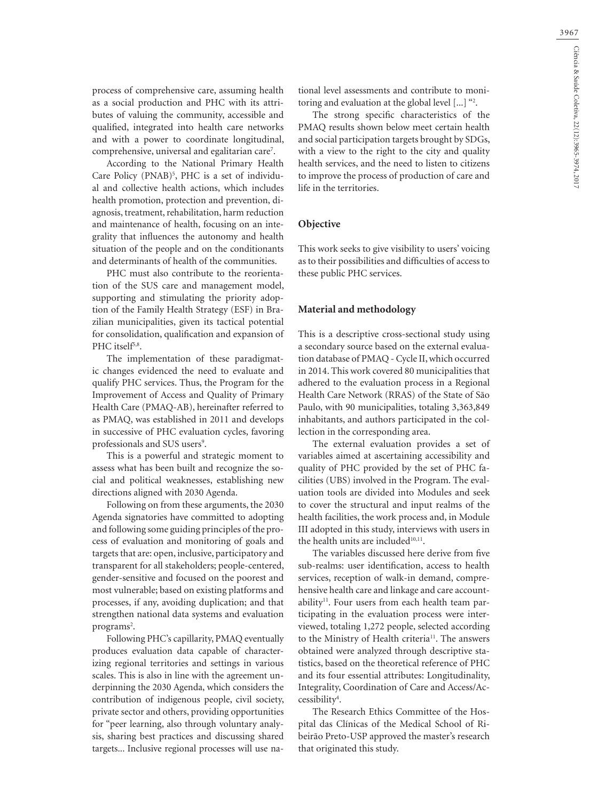process of comprehensive care, assuming health as a social production and PHC with its attributes of valuing the community, accessible and qualified, integrated into health care networks and with a power to coordinate longitudinal, comprehensive, universal and egalitarian care7 .

According to the National Primary Health Care Policy (PNAB)<sup>5</sup>, PHC is a set of individual and collective health actions, which includes health promotion, protection and prevention, diagnosis, treatment, rehabilitation, harm reduction and maintenance of health, focusing on an integrality that influences the autonomy and health situation of the people and on the conditionants and determinants of health of the communities.

PHC must also contribute to the reorientation of the SUS care and management model, supporting and stimulating the priority adoption of the Family Health Strategy (ESF) in Brazilian municipalities, given its tactical potential for consolidation, qualification and expansion of PHC itsel $f<sup>5,8</sup>$ .

The implementation of these paradigmatic changes evidenced the need to evaluate and qualify PHC services. Thus, the Program for the Improvement of Access and Quality of Primary Health Care (PMAQ-AB), hereinafter referred to as PMAQ, was established in 2011 and develops in successive of PHC evaluation cycles, favoring professionals and SUS users<sup>9</sup>.

This is a powerful and strategic moment to assess what has been built and recognize the social and political weaknesses, establishing new directions aligned with 2030 Agenda.

Following on from these arguments, the 2030 Agenda signatories have committed to adopting and following some guiding principles of the process of evaluation and monitoring of goals and targets that are: open, inclusive, participatory and transparent for all stakeholders; people-centered, gender-sensitive and focused on the poorest and most vulnerable; based on existing platforms and processes, if any, avoiding duplication; and that strengthen national data systems and evaluation programs<sup>2</sup>.

Following PHC's capillarity, PMAQ eventually produces evaluation data capable of characterizing regional territories and settings in various scales. This is also in line with the agreement underpinning the 2030 Agenda, which considers the contribution of indigenous people, civil society, private sector and others, providing opportunities for "peer learning, also through voluntary analysis, sharing best practices and discussing shared targets... Inclusive regional processes will use national level assessments and contribute to monitoring and evaluation at the global level [...] "2 .

The strong specific characteristics of the PMAQ results shown below meet certain health and social participation targets brought by SDGs, with a view to the right to the city and quality health services, and the need to listen to citizens to improve the process of production of care and life in the territories.

## **Objective**

This work seeks to give visibility to users' voicing as to their possibilities and difficulties of access to these public PHC services.

#### **Material and methodology**

This is a descriptive cross-sectional study using a secondary source based on the external evaluation database of PMAQ - Cycle II, which occurred in 2014. This work covered 80 municipalities that adhered to the evaluation process in a Regional Health Care Network (RRAS) of the State of São Paulo, with 90 municipalities, totaling 3,363,849 inhabitants, and authors participated in the collection in the corresponding area.

The external evaluation provides a set of variables aimed at ascertaining accessibility and quality of PHC provided by the set of PHC facilities (UBS) involved in the Program. The evaluation tools are divided into Modules and seek to cover the structural and input realms of the health facilities, the work process and, in Module III adopted in this study, interviews with users in the health units are included<sup>10,11</sup>.

The variables discussed here derive from five sub-realms: user identification, access to health services, reception of walk-in demand, comprehensive health care and linkage and care accountability<sup>11</sup>. Four users from each health team participating in the evaluation process were interviewed, totaling 1,272 people, selected according to the Ministry of Health criteria<sup>11</sup>. The answers obtained were analyzed through descriptive statistics, based on the theoretical reference of PHC and its four essential attributes: Longitudinality, Integrality, Coordination of Care and Access/Accessibility<sup>4</sup>.

The Research Ethics Committee of the Hospital das Clínicas of the Medical School of Ribeirão Preto-USP approved the master's research that originated this study.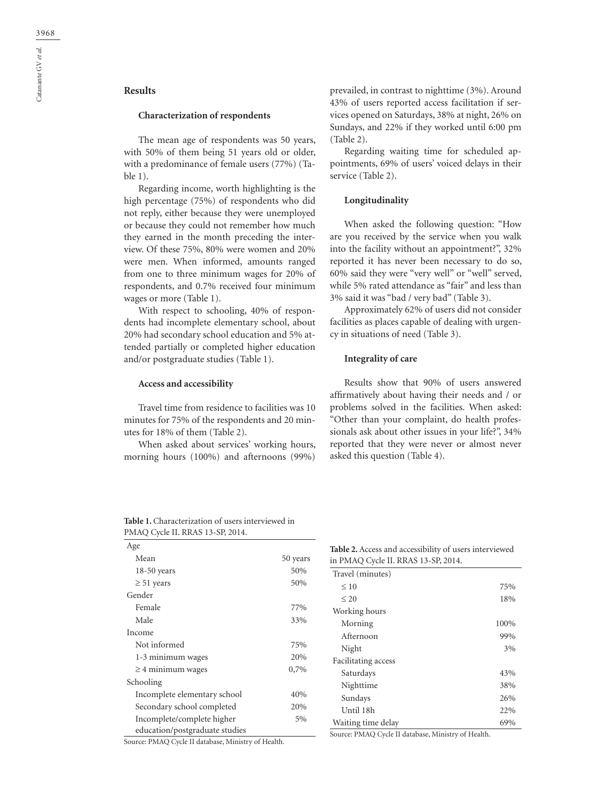# **Results**

#### **Characterization of respondents**

The mean age of respondents was 50 years, with 50% of them being 51 years old or older, with a predominance of female users (77%) (Table 1).

Regarding income, worth highlighting is the high percentage (75%) of respondents who did not reply, either because they were unemployed or because they could not remember how much they earned in the month preceding the interview. Of these 75%, 80% were women and 20% were men. When informed, amounts ranged from one to three minimum wages for 20% of respondents, and 0.7% received four minimum wages or more (Table 1).

With respect to schooling, 40% of respondents had incomplete elementary school, about 20% had secondary school education and 5% attended partially or completed higher education and/or postgraduate studies (Table 1).

#### **Access and accessibility**

Travel time from residence to facilities was 10 minutes for 75% of the respondents and 20 minutes for 18% of them (Table 2).

When asked about services' working hours, morning hours (100%) and afternoons (99%) prevailed, in contrast to nighttime (3%). Around 43% of users reported access facilitation if services opened on Saturdays, 38% at night, 26% on Sundays, and 22% if they worked until 6:00 pm (Table 2).

Regarding waiting time for scheduled appointments, 69% of users' voiced delays in their service (Table 2).

### **Longitudinality**

When asked the following question: "How are you received by the service when you walk into the facility without an appointment?", 32% reported it has never been necessary to do so, 60% said they were "very well" or "well" served, while 5% rated attendance as "fair" and less than 3% said it was "bad / very bad" (Table 3).

Approximately 62% of users did not consider facilities as places capable of dealing with urgency in situations of need (Table 3).

### **Integrality of care**

Results show that 90% of users answered affirmatively about having their needs and / or problems solved in the facilities. When asked: "Other than your complaint, do health professionals ask about other issues in your life?", 34% reported that they were never or almost never asked this question (Table 4).

**Table 1.** Characterization of users interviewed in PMAQ Cycle II. RRAS 13-SP, 2014.

| $1.011$ $\sqrt{2}$ $\sqrt{2}$ $\sqrt{2}$ $\sqrt{2}$ $\sqrt{2}$ $\sqrt{2}$ $\sqrt{2}$ $\sqrt{2}$ $\sqrt{2}$ $\sqrt{2}$ $\sqrt{2}$ $\sqrt{2}$ $\sqrt{2}$ $\sqrt{2}$ $\sqrt{2}$ $\sqrt{2}$ $\sqrt{2}$ $\sqrt{2}$ $\sqrt{2}$ $\sqrt{2}$ $\sqrt{2}$ $\sqrt{2}$ $\sqrt{2}$ $\sqrt{2}$ $\sqrt{2}$ $\sqrt{2}$ $\sqrt{2$ |          |
|-----------------------------------------------------------------------------------------------------------------------------------------------------------------------------------------------------------------------------------------------------------------------------------------------------------------|----------|
| Age                                                                                                                                                                                                                                                                                                             |          |
| Mean                                                                                                                                                                                                                                                                                                            | 50 years |
| $18-50$ years                                                                                                                                                                                                                                                                                                   | 50%      |
| $\geq 51$ years                                                                                                                                                                                                                                                                                                 | 50%      |
| Gender                                                                                                                                                                                                                                                                                                          |          |
| Female                                                                                                                                                                                                                                                                                                          | 77%      |
| Male                                                                                                                                                                                                                                                                                                            | 33%      |
| Income                                                                                                                                                                                                                                                                                                          |          |
| Not informed                                                                                                                                                                                                                                                                                                    | 75%      |
| 1-3 minimum wages                                                                                                                                                                                                                                                                                               | 20%      |
| $\geq$ 4 minimum wages                                                                                                                                                                                                                                                                                          | 0,7%     |
| Schooling                                                                                                                                                                                                                                                                                                       |          |
| Incomplete elementary school                                                                                                                                                                                                                                                                                    | 40%      |
| Secondary school completed                                                                                                                                                                                                                                                                                      | 20%      |
| Incomplete/complete higher                                                                                                                                                                                                                                                                                      | $5\%$    |
| education/postgraduate studies                                                                                                                                                                                                                                                                                  |          |

Source: PMAQ Cycle II database, Ministry of Health.

**Table 2.** Access and accessibility of users interviewed  $\ln$  PMAQ Cycle II. RDAS 12-SD, 2014.

| III F MAQ CYCIC II. KKAS 15-SF, 2014. |      |
|---------------------------------------|------|
| Travel (minutes)                      |      |
| $\leq 10$                             | 75%  |
| $\leq 20$                             | 18%  |
| Working hours                         |      |
| Morning                               | 100% |
| Afternoon                             | 99%  |
| Night                                 | 3%   |
| Facilitating access                   |      |
| Saturdays                             | 43%  |
| Nighttime                             | 38%  |
| Sundays                               | 26%  |
| Until 18h                             | 22%  |
| Waiting time delay                    | 69%  |
|                                       |      |

Source: PMAQ Cycle II database, Ministry of Health.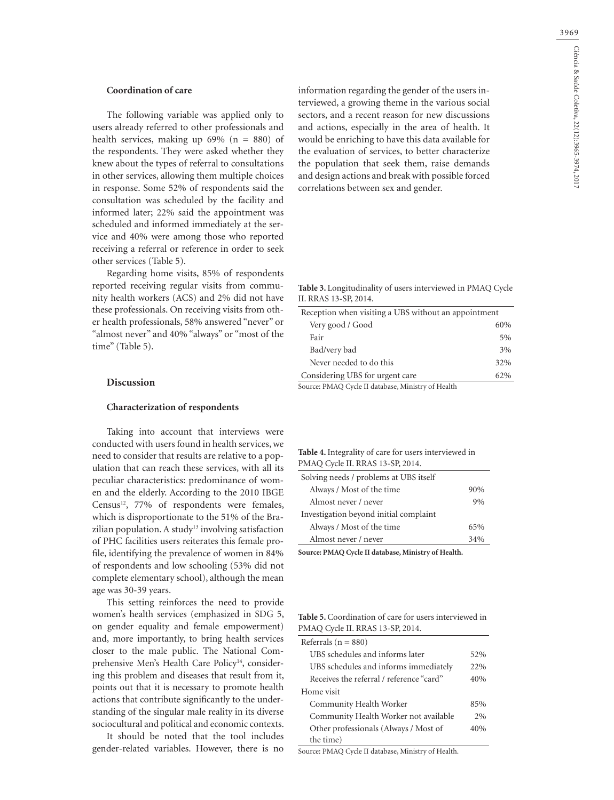#### **Coordination of care**

The following variable was applied only to users already referred to other professionals and health services, making up  $69\%$  (n = 880) of the respondents. They were asked whether they knew about the types of referral to consultations in other services, allowing them multiple choices in response. Some 52% of respondents said the consultation was scheduled by the facility and informed later; 22% said the appointment was scheduled and informed immediately at the service and 40% were among those who reported receiving a referral or reference in order to seek other services (Table 5).

Regarding home visits, 85% of respondents reported receiving regular visits from community health workers (ACS) and 2% did not have these professionals. On receiving visits from other health professionals, 58% answered "never" or "almost never" and 40% "always" or "most of the time" (Table 5).

## **Discussion**

#### **Characterization of respondents**

Taking into account that interviews were conducted with users found in health services, we need to consider that results are relative to a population that can reach these services, with all its peculiar characteristics: predominance of women and the elderly. According to the 2010 IBGE Census<sup>12</sup>, 77% of respondents were females, which is disproportionate to the 51% of the Brazilian population. A study<sup>13</sup> involving satisfaction of PHC facilities users reiterates this female profile, identifying the prevalence of women in 84% of respondents and low schooling (53% did not complete elementary school), although the mean age was 30-39 years.

This setting reinforces the need to provide women's health services (emphasized in SDG 5, on gender equality and female empowerment) and, more importantly, to bring health services closer to the male public. The National Comprehensive Men's Health Care Policy<sup>14</sup>, considering this problem and diseases that result from it, points out that it is necessary to promote health actions that contribute significantly to the understanding of the singular male reality in its diverse sociocultural and political and economic contexts.

It should be noted that the tool includes gender-related variables. However, there is no information regarding the gender of the users interviewed, a growing theme in the various social sectors, and a recent reason for new discussions and actions, especially in the area of health. It would be enriching to have this data available for the evaluation of services, to better characterize the population that seek them, raise demands and design actions and break with possible forced correlations between sex and gender.

**Table 3.** Longitudinality of users interviewed in PMAQ Cycle II. RRAS 13-SP, 2014.

| Reception when visiting a UBS without an appointment |     |
|------------------------------------------------------|-----|
| Very good / Good                                     | 60% |
| Fair                                                 | 5%  |
| Bad/very bad                                         | 3%  |
| Never needed to do this                              | 32% |
| Considering UBS for urgent care                      | 62% |
| $\alpha$ DILACE IT I.I. IT I.I. CIT I.I.             |     |

Source: PMAQ Cycle II database, Ministry of Health

**Table 4.** Integrality of care for users interviewed in PMAQ Cycle II. RRAS 13-SP, 2014.

| Solving needs / problems at UBS itself |     |
|----------------------------------------|-----|
| Always / Most of the time              | 90% |
| Almost never / never                   | 9%  |
| Investigation beyond initial complaint |     |
| Always / Most of the time              | 65% |
| Almost never / never                   | 34% |
|                                        |     |

**Source: PMAQ Cycle II database, Ministry of Health.**

**Table 5.** Coordination of care for users interviewed in PMAQ Cycle II. RRAS 13-SP, 2014.

| Referrals ( $n = 880$ )                  |        |
|------------------------------------------|--------|
| UBS schedules and informs later          | 52%    |
| UBS schedules and informs immediately    | $22\%$ |
| Receives the referral / reference "card" | 40%    |
| Home visit                               |        |
| Community Health Worker                  | 85%    |
| Community Health Worker not available    | 2%     |
| Other professionals (Always / Most of    | 40%    |
| the time)                                |        |

Source: PMAQ Cycle II database, Ministry of Health.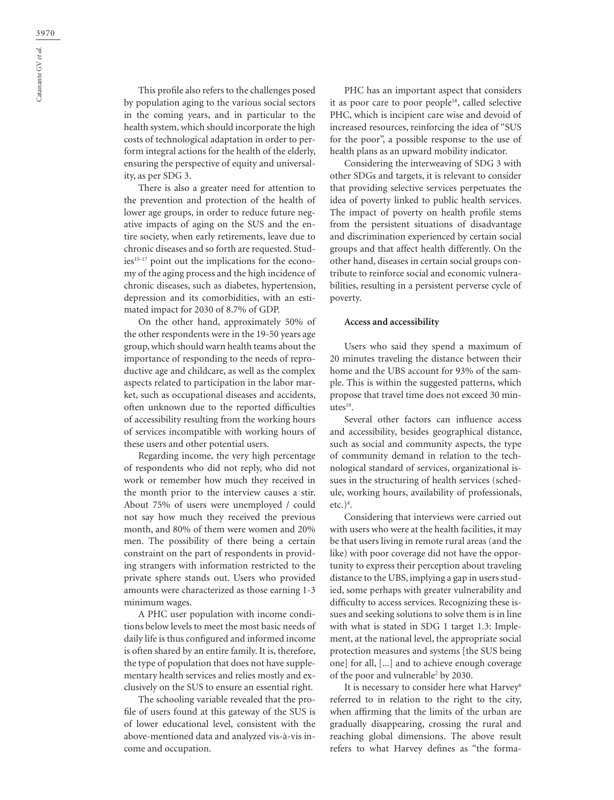This profile also refers to the challenges posed by population aging to the various social sectors in the coming years, and in particular to the health system, which should incorporate the high costs of technological adaptation in order to perform integral actions for the health of the elderly, ensuring the perspective of equity and universality, as per SDG 3.

There is also a greater need for attention to the prevention and protection of the health of lower age groups, in order to reduce future negative impacts of aging on the SUS and the entire society, when early retirements, leave due to chronic diseases and so forth are requested. Studies<sup>15-17</sup> point out the implications for the economy of the aging process and the high incidence of chronic diseases, such as diabetes, hypertension, depression and its comorbidities, with an estimated impact for 2030 of 8.7% of GDP.

On the other hand, approximately 50% of the other respondents were in the 19-50 years age group, which should warn health teams about the importance of responding to the needs of reproductive age and childcare, as well as the complex aspects related to participation in the labor market, such as occupational diseases and accidents, often unknown due to the reported difficulties of accessibility resulting from the working hours of services incompatible with working hours of these users and other potential users.

Regarding income, the very high percentage of respondents who did not reply, who did not work or remember how much they received in the month prior to the interview causes a stir. About 75% of users were unemployed / could not say how much they received the previous month, and 80% of them were women and 20% men. The possibility of there being a certain constraint on the part of respondents in providing strangers with information restricted to the private sphere stands out. Users who provided amounts were characterized as those earning 1-3 minimum wages.

A PHC user population with income conditions below levels to meet the most basic needs of daily life is thus configured and informed income is often shared by an entire family. It is, therefore, the type of population that does not have supplementary health services and relies mostly and exclusively on the SUS to ensure an essential right.

The schooling variable revealed that the profile of users found at this gateway of the SUS is of lower educational level, consistent with the above-mentioned data and analyzed vis-à-vis income and occupation.

PHC has an important aspect that considers it as poor care to poor people<sup>18</sup>, called selective PHC, which is incipient care wise and devoid of increased resources, reinforcing the idea of "SUS for the poor", a possible response to the use of health plans as an upward mobility indicator.

Considering the interweaving of SDG 3 with other SDGs and targets, it is relevant to consider that providing selective services perpetuates the idea of poverty linked to public health services. The impact of poverty on health profile stems from the persistent situations of disadvantage and discrimination experienced by certain social groups and that affect health differently. On the other hand, diseases in certain social groups contribute to reinforce social and economic vulnerabilities, resulting in a persistent perverse cycle of poverty.

#### **Access and accessibility**

Users who said they spend a maximum of 20 minutes traveling the distance between their home and the UBS account for 93% of the sample. This is within the suggested patterns, which propose that travel time does not exceed 30 min $utes<sup>19</sup>.$ 

Several other factors can influence access and accessibility, besides geographical distance, such as social and community aspects, the type of community demand in relation to the technological standard of services, organizational issues in the structuring of health services (schedule, working hours, availability of professionals, etc.) $4$ .

Considering that interviews were carried out with users who were at the health facilities, it may be that users living in remote rural areas (and the like) with poor coverage did not have the opportunity to express their perception about traveling distance to the UBS, implying a gap in users studied, some perhaps with greater vulnerability and difficulty to access services. Recognizing these issues and seeking solutions to solve them is in line with what is stated in SDG 1 target 1.3: Implement, at the national level, the appropriate social protection measures and systems [the SUS being one] for all, [...] and to achieve enough coverage of the poor and vulnerable<sup>2</sup> by 2030.

It is necessary to consider here what Harvey<sup>6</sup> referred to in relation to the right to the city, when affirming that the limits of the urban are gradually disappearing, crossing the rural and reaching global dimensions. The above result refers to what Harvey defines as "the forma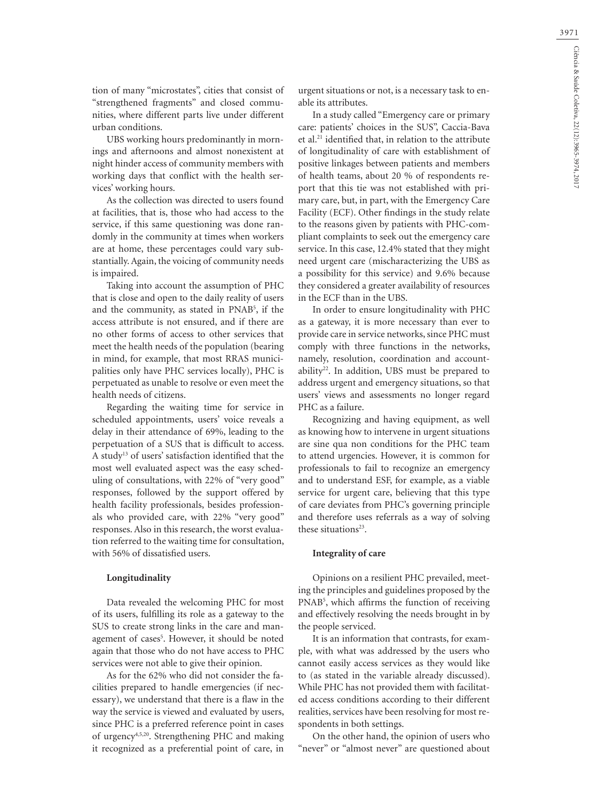tion of many "microstates", cities that consist of "strengthened fragments" and closed communities, where different parts live under different urban conditions.

UBS working hours predominantly in mornings and afternoons and almost nonexistent at night hinder access of community members with working days that conflict with the health services' working hours.

As the collection was directed to users found at facilities, that is, those who had access to the service, if this same questioning was done randomly in the community at times when workers are at home, these percentages could vary substantially. Again, the voicing of community needs is impaired.

Taking into account the assumption of PHC that is close and open to the daily reality of users and the community, as stated in PNAB5 , if the access attribute is not ensured, and if there are no other forms of access to other services that meet the health needs of the population (bearing in mind, for example, that most RRAS municipalities only have PHC services locally), PHC is perpetuated as unable to resolve or even meet the health needs of citizens.

Regarding the waiting time for service in scheduled appointments, users' voice reveals a delay in their attendance of 69%, leading to the perpetuation of a SUS that is difficult to access. A study13 of users' satisfaction identified that the most well evaluated aspect was the easy scheduling of consultations, with 22% of "very good" responses, followed by the support offered by health facility professionals, besides professionals who provided care, with 22% "very good" responses. Also in this research, the worst evaluation referred to the waiting time for consultation, with 56% of dissatisfied users.

#### **Longitudinality**

Data revealed the welcoming PHC for most of its users, fulfilling its role as a gateway to the SUS to create strong links in the care and management of cases<sup>5</sup>. However, it should be noted again that those who do not have access to PHC services were not able to give their opinion.

As for the 62% who did not consider the facilities prepared to handle emergencies (if necessary), we understand that there is a flaw in the way the service is viewed and evaluated by users, since PHC is a preferred reference point in cases of urgency4,5,20. Strengthening PHC and making it recognized as a preferential point of care, in urgent situations or not, is a necessary task to enable its attributes.

In a study called "Emergency care or primary care: patients' choices in the SUS", Caccia-Bava et al.21 identified that, in relation to the attribute of longitudinality of care with establishment of positive linkages between patients and members of health teams, about 20 % of respondents report that this tie was not established with primary care, but, in part, with the Emergency Care Facility (ECF). Other findings in the study relate to the reasons given by patients with PHC-compliant complaints to seek out the emergency care service. In this case, 12.4% stated that they might need urgent care (mischaracterizing the UBS as a possibility for this service) and 9.6% because they considered a greater availability of resources in the ECF than in the UBS.

In order to ensure longitudinality with PHC as a gateway, it is more necessary than ever to provide care in service networks, since PHC must comply with three functions in the networks, namely, resolution, coordination and accountability<sup>22</sup>. In addition, UBS must be prepared to address urgent and emergency situations, so that users' views and assessments no longer regard PHC as a failure.

Recognizing and having equipment, as well as knowing how to intervene in urgent situations are sine qua non conditions for the PHC team to attend urgencies. However, it is common for professionals to fail to recognize an emergency and to understand ESF, for example, as a viable service for urgent care, believing that this type of care deviates from PHC's governing principle and therefore uses referrals as a way of solving these situations<sup>23</sup>

#### **Integrality of care**

Opinions on a resilient PHC prevailed, meeting the principles and guidelines proposed by the PNAB<sup>5</sup>, which affirms the function of receiving and effectively resolving the needs brought in by the people serviced.

It is an information that contrasts, for example, with what was addressed by the users who cannot easily access services as they would like to (as stated in the variable already discussed). While PHC has not provided them with facilitated access conditions according to their different realities, services have been resolving for most respondents in both settings.

On the other hand, the opinion of users who "never" or "almost never" are questioned about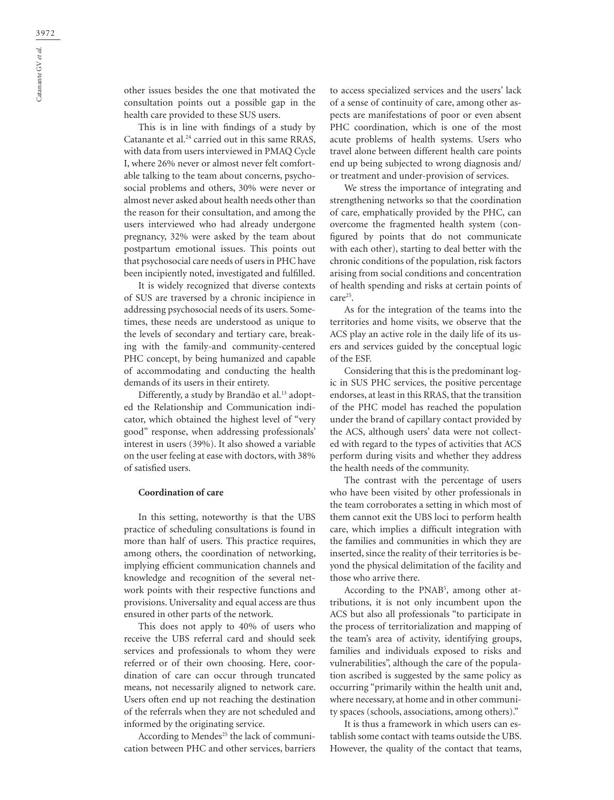other issues besides the one that motivated the consultation points out a possible gap in the health care provided to these SUS users.

This is in line with findings of a study by Catanante et al.<sup>24</sup> carried out in this same RRAS, with data from users interviewed in PMAQ Cycle I, where 26% never or almost never felt comfortable talking to the team about concerns, psychosocial problems and others, 30% were never or almost never asked about health needs other than the reason for their consultation, and among the users interviewed who had already undergone pregnancy, 32% were asked by the team about postpartum emotional issues. This points out that psychosocial care needs of users in PHC have been incipiently noted, investigated and fulfilled.

It is widely recognized that diverse contexts of SUS are traversed by a chronic incipience in addressing psychosocial needs of its users. Sometimes, these needs are understood as unique to the levels of secondary and tertiary care, breaking with the family-and community-centered PHC concept, by being humanized and capable of accommodating and conducting the health demands of its users in their entirety.

Differently, a study by Brandão et al.<sup>13</sup> adopted the Relationship and Communication indicator, which obtained the highest level of "very good" response, when addressing professionals' interest in users (39%). It also showed a variable on the user feeling at ease with doctors, with 38% of satisfied users.

### **Coordination of care**

In this setting, noteworthy is that the UBS practice of scheduling consultations is found in more than half of users. This practice requires, among others, the coordination of networking, implying efficient communication channels and knowledge and recognition of the several network points with their respective functions and provisions. Universality and equal access are thus ensured in other parts of the network.

This does not apply to 40% of users who receive the UBS referral card and should seek services and professionals to whom they were referred or of their own choosing. Here, coordination of care can occur through truncated means, not necessarily aligned to network care. Users often end up not reaching the destination of the referrals when they are not scheduled and informed by the originating service.

According to Mendes<sup>25</sup> the lack of communication between PHC and other services, barriers to access specialized services and the users' lack of a sense of continuity of care, among other aspects are manifestations of poor or even absent PHC coordination, which is one of the most acute problems of health systems. Users who travel alone between different health care points end up being subjected to wrong diagnosis and/ or treatment and under-provision of services.

We stress the importance of integrating and strengthening networks so that the coordination of care, emphatically provided by the PHC, can overcome the fragmented health system (configured by points that do not communicate with each other), starting to deal better with the chronic conditions of the population, risk factors arising from social conditions and concentration of health spending and risks at certain points of care<sup>25</sup>.

As for the integration of the teams into the territories and home visits, we observe that the ACS play an active role in the daily life of its users and services guided by the conceptual logic of the ESF.

Considering that this is the predominant logic in SUS PHC services, the positive percentage endorses, at least in this RRAS, that the transition of the PHC model has reached the population under the brand of capillary contact provided by the ACS, although users' data were not collected with regard to the types of activities that ACS perform during visits and whether they address the health needs of the community.

The contrast with the percentage of users who have been visited by other professionals in the team corroborates a setting in which most of them cannot exit the UBS loci to perform health care, which implies a difficult integration with the families and communities in which they are inserted, since the reality of their territories is beyond the physical delimitation of the facility and those who arrive there.

According to the PNAB5 , among other attributions, it is not only incumbent upon the ACS but also all professionals "to participate in the process of territorialization and mapping of the team's area of activity, identifying groups, families and individuals exposed to risks and vulnerabilities", although the care of the population ascribed is suggested by the same policy as occurring "primarily within the health unit and, where necessary, at home and in other community spaces (schools, associations, among others)."

It is thus a framework in which users can establish some contact with teams outside the UBS. However, the quality of the contact that teams,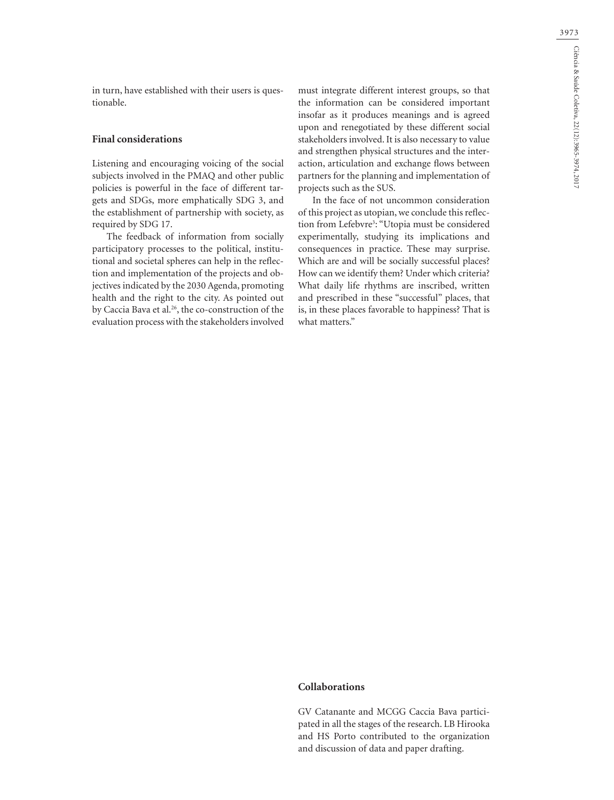in turn, have established with their users is questionable.

# **Final considerations**

Listening and encouraging voicing of the social subjects involved in the PMAQ and other public policies is powerful in the face of different targets and SDGs, more emphatically SDG 3, and the establishment of partnership with society, as required by SDG 17.

The feedback of information from socially participatory processes to the political, institutional and societal spheres can help in the reflection and implementation of the projects and objectives indicated by the 2030 Agenda, promoting health and the right to the city. As pointed out by Caccia Bava et al.<sup>26</sup>, the co-construction of the evaluation process with the stakeholders involved must integrate different interest groups, so that the information can be considered important insofar as it produces meanings and is agreed upon and renegotiated by these different social stakeholders involved. It is also necessary to value and strengthen physical structures and the interaction, articulation and exchange flows between partners for the planning and implementation of projects such as the SUS.

In the face of not uncommon consideration of this project as utopian, we conclude this reflection from Lefebvre3 : "Utopia must be considered experimentally, studying its implications and consequences in practice. These may surprise. Which are and will be socially successful places? How can we identify them? Under which criteria? What daily life rhythms are inscribed, written and prescribed in these "successful" places, that is, in these places favorable to happiness? That is what matters."

# **Collaborations**

GV Catanante and MCGG Caccia Bava participated in all the stages of the research. LB Hirooka and HS Porto contributed to the organization and discussion of data and paper drafting.